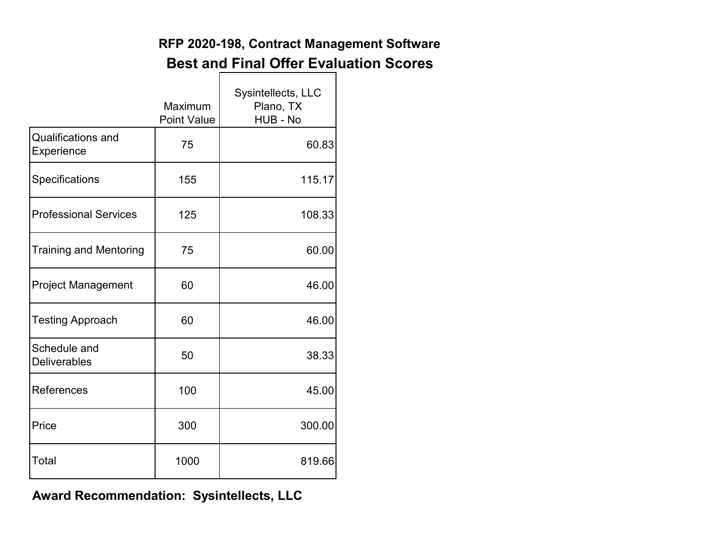## **RFP 2020-198, Contract Management Software Best and Final Offer Evaluation Scores**

|                                         | Maximum<br><b>Point Value</b> | Sysintellects, LLC<br>Plano, TX<br>HUB - No |
|-----------------------------------------|-------------------------------|---------------------------------------------|
| <b>Qualifications and</b><br>Experience | 75                            | 60.83                                       |
| Specifications                          | 155                           | 115.17                                      |
| <b>Professional Services</b>            | 125                           | 108.33                                      |
| <b>Training and Mentoring</b>           | 75                            | 60.00                                       |
| <b>Project Management</b>               | 60                            | 46.00                                       |
| <b>Testing Approach</b>                 | 60                            | 46.00                                       |
| Schedule and<br><b>Deliverables</b>     | 50                            | 38.33                                       |
| References                              | 100                           | 45.00                                       |
| Price                                   | 300                           | 300.00                                      |
| Total                                   | 1000                          | 819.66                                      |

**Award Recommendation: Sysintellects, LLC**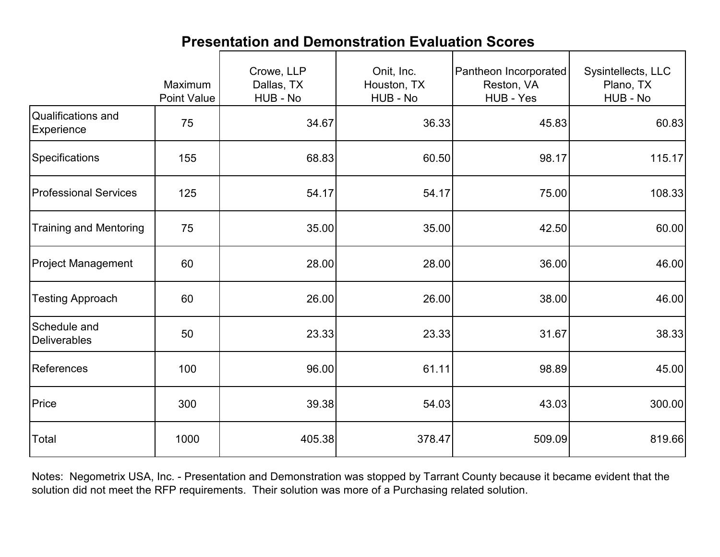|                                     | Maximum<br><b>Point Value</b> | Crowe, LLP<br>Dallas, TX<br>HUB - No | Onit, Inc.<br>Houston, TX<br>HUB - No | Pantheon Incorporated<br>Reston, VA<br>HUB - Yes | Sysintellects, LLC<br>Plano, TX<br>HUB - No |
|-------------------------------------|-------------------------------|--------------------------------------|---------------------------------------|--------------------------------------------------|---------------------------------------------|
| Qualifications and<br>Experience    | 75                            | 34.67                                | 36.33                                 | 45.83                                            | 60.83                                       |
| Specifications                      | 155                           | 68.83                                | 60.50                                 | 98.17                                            | 115.17                                      |
| <b>Professional Services</b>        | 125                           | 54.17                                | 54.17                                 | 75.00                                            | 108.33                                      |
| <b>Training and Mentoring</b>       | 75                            | 35.00                                | 35.00                                 | 42.50                                            | 60.00                                       |
| <b>Project Management</b>           | 60                            | 28.00                                | 28.00                                 | 36.00                                            | 46.00                                       |
| <b>Testing Approach</b>             | 60                            | 26.00                                | 26.00                                 | 38.00                                            | 46.00                                       |
| Schedule and<br><b>Deliverables</b> | 50                            | 23.33                                | 23.33                                 | 31.67                                            | 38.33                                       |
| <b>References</b>                   | 100                           | 96.00                                | 61.11                                 | 98.89                                            | 45.00                                       |
| Price                               | 300                           | 39.38                                | 54.03                                 | 43.03                                            | 300.00                                      |
| Total                               | 1000                          | 405.38                               | 378.47                                | 509.09                                           | 819.66                                      |

## **Presentation and Demonstration Evaluation Scores**

Notes: Negometrix USA, Inc. - Presentation and Demonstration was stopped by Tarrant County because it became evident that the solution did not meet the RFP requirements. Their solution was more of a Purchasing related solution.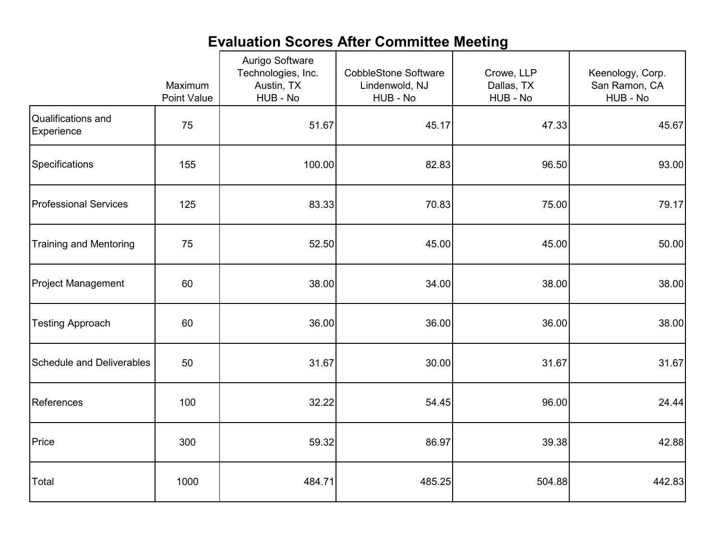## **Evaluation Scores After Committee Meeting**

|                                  | Maximum<br><b>Point Value</b> |        | <b>CobbleStone Software</b><br>Lindenwold, NJ<br>HUB - No | Crowe, LLP<br>Dallas, TX<br>HUB - No | Keenology, Corp.<br>San Ramon, CA<br>HUB - No |
|----------------------------------|-------------------------------|--------|-----------------------------------------------------------|--------------------------------------|-----------------------------------------------|
| Qualifications and<br>Experience | 75                            | 51.67  | 45.17                                                     | 47.33                                | 45.67                                         |
| Specifications                   | 155                           | 100.00 | 82.83                                                     | 96.50                                | 93.00                                         |
| <b>Professional Services</b>     | 125                           | 83.33  | 70.83                                                     | 75.00                                | 79.17                                         |
| <b>Training and Mentoring</b>    | 75                            | 52.50  | 45.00                                                     | 45.00                                | 50.00                                         |
| <b>Project Management</b>        | 60                            | 38.00  | 34.00                                                     | 38.00                                | 38.00                                         |
| <b>Testing Approach</b>          | 60                            | 36.00  | 36.00                                                     | 36.00                                | 38.00                                         |
| <b>Schedule and Deliverables</b> | 50                            | 31.67  | 30.00                                                     | 31.67                                | 31.67                                         |
| <b>References</b>                | 100                           | 32.22  | 54.45                                                     | 96.00                                | 24.44                                         |
| Price                            | 300                           | 59.32  | 86.97                                                     | 39.38                                | 42.88                                         |
| Total                            | 1000                          | 484.71 | 485.25                                                    | 504.88                               | 442.83                                        |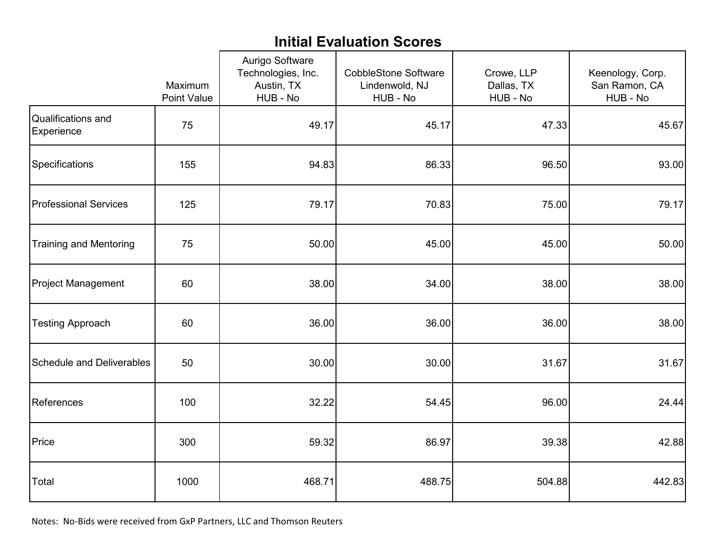## **Initial Evaluation Scores**

|                                  | Maximum<br><b>Point Value</b> |        | <b>CobbleStone Software</b><br>Lindenwold, NJ<br>HUB - No | Crowe, LLP<br>Dallas, TX<br>HUB - No | Keenology, Corp.<br>San Ramon, CA<br>HUB - No |
|----------------------------------|-------------------------------|--------|-----------------------------------------------------------|--------------------------------------|-----------------------------------------------|
| Qualifications and<br>Experience | 75                            | 49.17  | 45.17                                                     | 47.33                                | 45.67                                         |
| Specifications                   | 155                           | 94.83  | 86.33                                                     | 96.50                                | 93.00                                         |
| <b>Professional Services</b>     | 125                           | 79.17  | 70.83                                                     | 75.00                                | 79.17                                         |
| <b>Training and Mentoring</b>    | 75                            | 50.00  | 45.00                                                     | 45.00                                | 50.00                                         |
| <b>Project Management</b>        | 60                            | 38.00  | 34.00                                                     | 38.00                                | 38.00                                         |
| <b>Testing Approach</b>          | 60                            | 36.00  | 36.00                                                     | 36.00                                | 38.00                                         |
| <b>Schedule and Deliverables</b> | 50                            | 30.00  | 30.00                                                     | 31.67                                | 31.67                                         |
| References                       | 100                           | 32.22  | 54.45                                                     | 96.00                                | 24.44                                         |
| Price                            | 300                           | 59.32  | 86.97                                                     | 39.38                                | 42.88                                         |
| Total                            | 1000                          | 468.71 | 488.75                                                    | 504.88                               | 442.83                                        |

Notes: No-Bids were received from GxP Partners, LLC and Thomson Reuters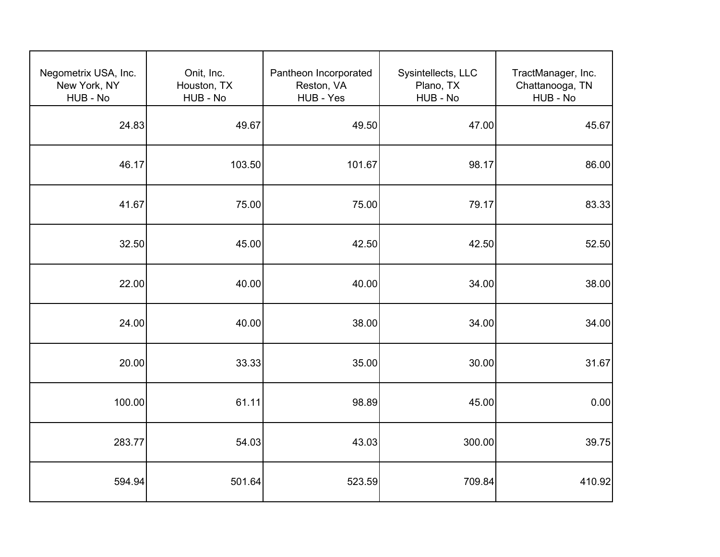| Negometrix USA, Inc.<br>New York, NY<br>HUB - No | Onit, Inc.<br>Houston, TX<br>HUB - No | Pantheon Incorporated<br>Reston, VA<br>HUB - Yes | Sysintellects, LLC<br>Plano, TX<br>HUB - No | TractManager, Inc.<br>Chattanooga, TN<br>HUB - No |
|--------------------------------------------------|---------------------------------------|--------------------------------------------------|---------------------------------------------|---------------------------------------------------|
| 24.83                                            | 49.67                                 | 49.50                                            | 47.00                                       | 45.67                                             |
| 46.17                                            | 103.50                                | 101.67                                           | 98.17                                       | 86.00                                             |
| 41.67                                            | 75.00                                 | 75.00                                            | 79.17                                       | 83.33                                             |
| 32.50                                            | 45.00                                 | 42.50                                            | 42.50                                       | 52.50                                             |
| 22.00                                            | 40.00                                 | 40.00                                            | 34.00                                       | 38.00                                             |
| 24.00                                            | 40.00                                 | 38.00                                            | 34.00                                       | 34.00                                             |
| 20.00                                            | 33.33                                 | 35.00                                            | 30.00                                       | 31.67                                             |
| 100.00                                           | 61.11                                 | 98.89                                            | 45.00                                       | 0.00                                              |
| 283.77                                           | 54.03                                 | 43.03                                            | 300.00                                      | 39.75                                             |
| 594.94                                           | 501.64                                | 523.59                                           | 709.84                                      | 410.92                                            |